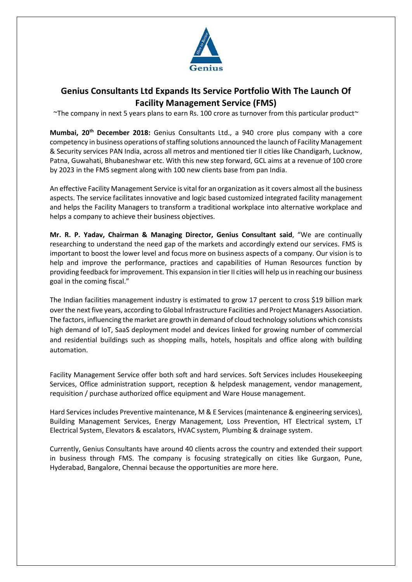

## **Genius Consultants Ltd Expands Its Service Portfolio With The Launch Of Facility Management Service (FMS)**

 $\gamma$ The company in next 5 years plans to earn Rs. 100 crore as turnover from this particular product $\gamma$ 

**Mumbai, 20th December 2018:** Genius Consultants Ltd., a 940 crore plus company with a core competency in business operations of staffing solutions announced the launch of Facility Management & Security services PAN India, across all metros and mentioned tier II cities like Chandigarh, Lucknow, Patna, Guwahati, Bhubaneshwar etc. With this new step forward, GCL aims at a revenue of 100 crore by 2023 in the FMS segment along with 100 new clients base from pan India.

An effective Facility Management Service is vital for an organization as it covers almost all the business aspects. The service facilitates innovative and logic based customized integrated facility management and helps the Facility Managers to transform a traditional workplace into alternative workplace and helps a company to achieve their business objectives.

**Mr. R. P. Yadav, Chairman & Managing Director, Genius Consultant said**, "We are continually researching to understand the need gap of the markets and accordingly extend our services. FMS is important to boost the lower level and focus more on business aspects of a company. Our vision is to help and improve the performance, practices and capabilities of Human Resources function by providing feedback for improvement. This expansion in tier II cities will help us in reaching our business goal in the coming fiscal."

The Indian facilities management industry is estimated to grow 17 percent to cross \$19 billion mark over the next five years, according to Global Infrastructure Facilities and Project Managers Association. The factors, influencing the market are growth in demand of cloud technology solutions which consists high demand of IoT, SaaS deployment model and devices linked for growing number of commercial and residential buildings such as shopping malls, hotels, hospitals and office along with building automation.

Facility Management Service offer both soft and hard services. Soft Services includes Housekeeping Services, Office administration support, reception & helpdesk management, vendor management, requisition / purchase authorized office equipment and Ware House management.

Hard Services includes Preventive maintenance, M & E Services(maintenance & engineering services), Building Management Services, Energy Management, Loss Prevention, HT Electrical system, LT Electrical System, Elevators & escalators, HVAC system, Plumbing & drainage system.

Currently, Genius Consultants have around 40 clients across the country and extended their support in business through FMS. The company is focusing strategically on cities like Gurgaon, Pune, Hyderabad, Bangalore, Chennai because the opportunities are more here.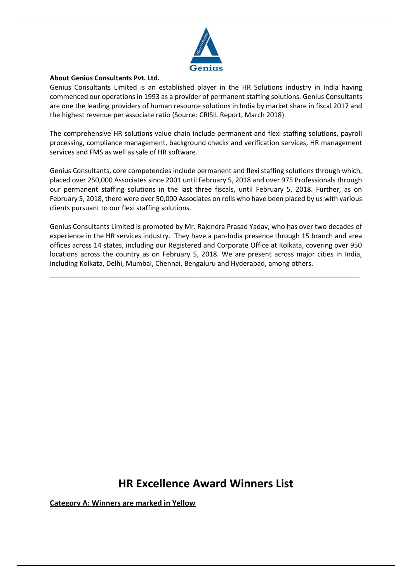

## **About Genius Consultants Pvt. Ltd.**

Genius Consultants Limited is an established player in the HR Solutions industry in India having commenced our operations in 1993 as a provider of permanent staffing solutions. Genius Consultants are one the leading providers of human resource solutions in India by market share in fiscal 2017 and the highest revenue per associate ratio (Source: CRISIL Report, March 2018).

The comprehensive HR solutions value chain include permanent and flexi staffing solutions, payroll processing, compliance management, background checks and verification services, HR management services and FMS as well as sale of HR software.

Genius Consultants, core competencies include permanent and flexi staffing solutions through which, placed over 250,000 Associates since 2001 until February 5, 2018 and over 975 Professionals through our permanent staffing solutions in the last three fiscals, until February 5, 2018. Further, as on February 5, 2018, there were over 50,000 Associates on rolls who have been placed by us with various clients pursuant to our flexi staffing solutions.

Genius Consultants Limited is promoted by Mr. Rajendra Prasad Yadav, who has over two decades of experience in the HR services industry. They have a pan-India presence through 15 branch and area offices across 14 states, including our Registered and Corporate Office at Kolkata, covering over 950 locations across the country as on February 5, 2018. We are present across major cities in India, including Kolkata, Delhi, Mumbai, Chennai, Bengaluru and Hyderabad, among others.

\_\_\_\_\_\_\_\_\_\_\_\_\_\_\_\_\_\_\_\_\_\_\_\_\_\_\_\_\_\_\_\_\_\_\_\_\_\_\_\_\_\_\_\_\_\_\_\_\_\_\_\_\_\_\_\_\_\_\_\_\_\_\_\_\_\_\_\_\_\_\_\_\_\_\_

## **HR Excellence Award Winners List**

**Category A: Winners are marked in Yellow**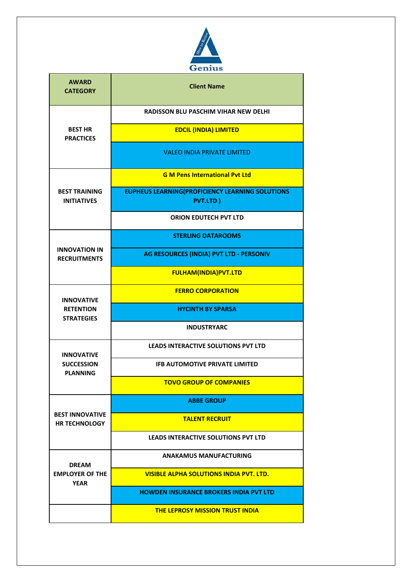

| <b>AWARD</b><br><b>CATEGORY</b>                           | <b>Client Name</b>                                                         |
|-----------------------------------------------------------|----------------------------------------------------------------------------|
| <b>BEST HR</b><br><b>PRACTICES</b>                        | <b>RADISSON BLU PASCHIM VIHAR NEW DELHI</b>                                |
|                                                           | <b>EDCIL (INDIA) LIMITED</b>                                               |
|                                                           | <b>VALEO INDIA PRIVATE LIMITED</b>                                         |
| <b>BEST TRAINING</b><br><b>INITIATIVES</b>                | <b>G M Pens International Pyt Ltd</b>                                      |
|                                                           | <b>EUPHEUS LEARNING (PROFICIENCY LEARNING SOLUTIONS</b><br><b>PVT.LTD)</b> |
|                                                           | <b>ORION EDUTECH PVT LTD</b>                                               |
| <b>INNOVATION IN</b><br><b>RECRUITMENTS</b>               | <b>STERLING DATAROOMS</b>                                                  |
|                                                           | AG RESOURCES (INDIA) PVT LTD - PERSONIV                                    |
|                                                           | <b>FULHAM(INDIA)PVT.LTD</b>                                                |
| <b>INNOVATIVE</b>                                         | <b>FERRO CORPORATION</b>                                                   |
| <b>RETENTION</b><br><b>STRATEGIES</b>                     | <b>HYCINTH BY SPARSA</b>                                                   |
|                                                           | <b>INDUSTRYARC</b>                                                         |
| <b>INNOVATIVE</b><br><b>SUCCESSION</b><br><b>PLANNING</b> | <b>LEADS INTERACTIVE SOLUTIONS PVT LTD</b>                                 |
|                                                           | <b>IFB AUTOMOTIVE PRIVATE LIMITED</b>                                      |
|                                                           | <b>TOVO GROUP OF COMPANIES</b>                                             |
| <b>BEST INNOVATIVE</b><br><b>HR TECHNOLOGY</b>            | <b>ABBE GROUP</b>                                                          |
|                                                           | <b>TALENT RECRUIT</b>                                                      |
|                                                           | LEADS INTERACTIVE SOLUTIONS PVT LTD                                        |
| <b>DREAM</b><br><b>EMPLOYER OF THE</b><br><b>YEAR</b>     | <b>ANAKAMUS MANUFACTURING</b>                                              |
|                                                           | <b>VISIBLE ALPHA SOLUTIONS INDIA PVT. LTD.</b>                             |
|                                                           | <b>HOWDEN INSURANCE BROKERS INDIA PVT LTD</b>                              |
|                                                           | <b>THE LEPROSY MISSION TRUST INDIA</b>                                     |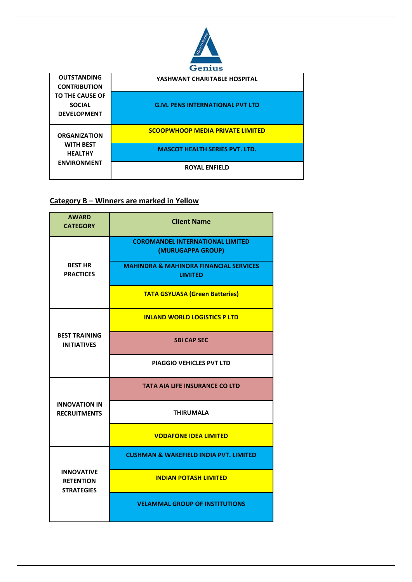

|                                                                                                     | стенция                                 |
|-----------------------------------------------------------------------------------------------------|-----------------------------------------|
| <b>OUTSTANDING</b><br><b>CONTRIBUTION</b><br>TO THE CAUSE OF<br><b>SOCIAL</b><br><b>DEVELOPMENT</b> | YASHWANT CHARITABLE HOSPITAL            |
|                                                                                                     | <b>G.M. PENS INTERNATIONAL PVT LTD</b>  |
| <b>ORGANIZATION</b><br><b>WITH BEST</b><br><b>HEALTHY</b><br><b>ENVIRONMENT</b>                     | <b>SCOOPWHOOP MEDIA PRIVATE LIMITED</b> |
|                                                                                                     | <b>MASCOT HEALTH SERIES PVT. LTD.</b>   |
|                                                                                                     | <b>ROYAL ENFIELD</b>                    |

## **Category B – Winners are marked in Yellow**

| <b>AWARD</b><br><b>CATEGORY</b>                            | <b>Client Name</b>                                                  |
|------------------------------------------------------------|---------------------------------------------------------------------|
| <b>BEST HR</b><br><b>PRACTICES</b>                         | <b>COROMANDEL INTERNATIONAL LIMITED</b><br>(MURUGAPPA GROUP)        |
|                                                            | <b>MAHINDRA &amp; MAHINDRA FINANCIAL SERVICES</b><br><b>LIMITED</b> |
|                                                            | <b>TATA GSYUASA (Green Batteries)</b>                               |
| <b>BEST TRAINING</b><br><b>INITIATIVES</b>                 | <b>INLAND WORLD LOGISTICS P LTD</b>                                 |
|                                                            | <b>SBI CAP SEC</b>                                                  |
|                                                            | <b>PIAGGIO VEHICLES PVT LTD</b>                                     |
| <b>INNOVATION IN</b><br><b>RECRUITMENTS</b>                | <b>TATA AIA LIFE INSURANCE CO LTD</b>                               |
|                                                            | <b>THIRUMALA</b>                                                    |
|                                                            | <b>VODAFONE IDEA LIMITED</b>                                        |
| <b>INNOVATIVE</b><br><b>RETENTION</b><br><b>STRATEGIES</b> | <b>CUSHMAN &amp; WAKEFIELD INDIA PVT. LIMITED</b>                   |
|                                                            | <b>INDIAN POTASH LIMITED</b>                                        |
|                                                            | <b>VELAMMAL GROUP OF INSTITUTIONS</b>                               |